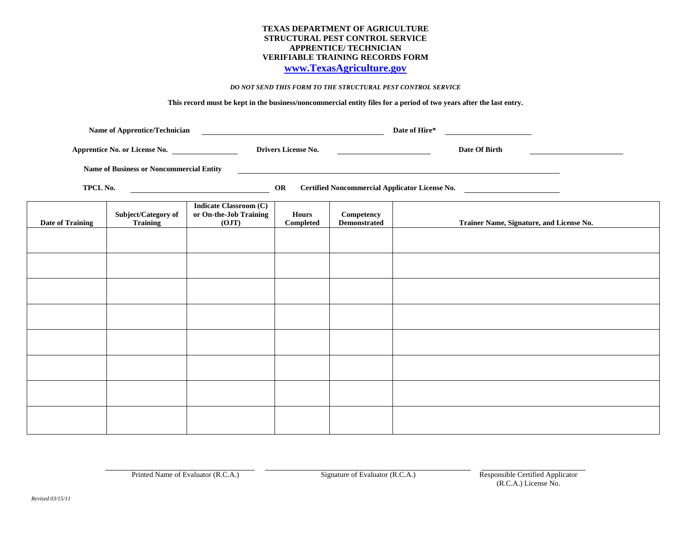## **TEXAS DEPARTMENT OF AGRICULTURE STRUCTURAL PEST CONTROL SERVICE APPRENTICE/ TECHNICIAN VERIFIABLE TRAINING RECORDS FORM**

# **[www.TexasAgriculture.gov](http://www.tda.state.tx.us/spcs)**

#### *DO NOT SEND THIS FORM TO THE STRUCTURAL PEST CONTROL SERVICE*

**This record must be kept in the business/noncommercial entity files for a period of two years after the last entry.** 

|                                                                                                                                                                          |                                        |                                                                                                                                                                            | Date of Hire*                                                                |                                   |                                          |  |
|--------------------------------------------------------------------------------------------------------------------------------------------------------------------------|----------------------------------------|----------------------------------------------------------------------------------------------------------------------------------------------------------------------------|------------------------------------------------------------------------------|-----------------------------------|------------------------------------------|--|
| Apprentice No. or License No.                                                                                                                                            |                                        |                                                                                                                                                                            | <b>Drivers License No.</b><br><u> The Communication of the Communication</u> |                                   | Date Of Birth                            |  |
| <b>Name of Business or Noncommercial Entity</b><br><u> 1989 - Johann Stoff, deutscher Stoffen und der Stoffen und der Stoffen und der Stoffen und der Stoffen und de</u> |                                        |                                                                                                                                                                            |                                                                              |                                   |                                          |  |
| TPCL No.                                                                                                                                                                 |                                        | <b>Certified Noncommercial Applicator License No.</b><br>OR<br><u> 1980 - Johann Barbara, martxa alemaniar a</u><br><u> 1980 - Jan Barbara Barbara, política establece</u> |                                                                              |                                   |                                          |  |
| <b>Date of Training</b>                                                                                                                                                  | Subject/Category of<br><b>Training</b> | <b>Indicate Classroom (C)</b><br>or On-the-Job Training<br>(OJT)                                                                                                           | <b>Hours</b><br>Completed                                                    | Competency<br><b>Demonstrated</b> | Trainer Name, Signature, and License No. |  |
|                                                                                                                                                                          |                                        |                                                                                                                                                                            |                                                                              |                                   |                                          |  |
|                                                                                                                                                                          |                                        |                                                                                                                                                                            |                                                                              |                                   |                                          |  |
|                                                                                                                                                                          |                                        |                                                                                                                                                                            |                                                                              |                                   |                                          |  |
|                                                                                                                                                                          |                                        |                                                                                                                                                                            |                                                                              |                                   |                                          |  |
|                                                                                                                                                                          |                                        |                                                                                                                                                                            |                                                                              |                                   |                                          |  |
|                                                                                                                                                                          |                                        |                                                                                                                                                                            |                                                                              |                                   |                                          |  |
|                                                                                                                                                                          |                                        |                                                                                                                                                                            |                                                                              |                                   |                                          |  |
|                                                                                                                                                                          |                                        |                                                                                                                                                                            |                                                                              |                                   |                                          |  |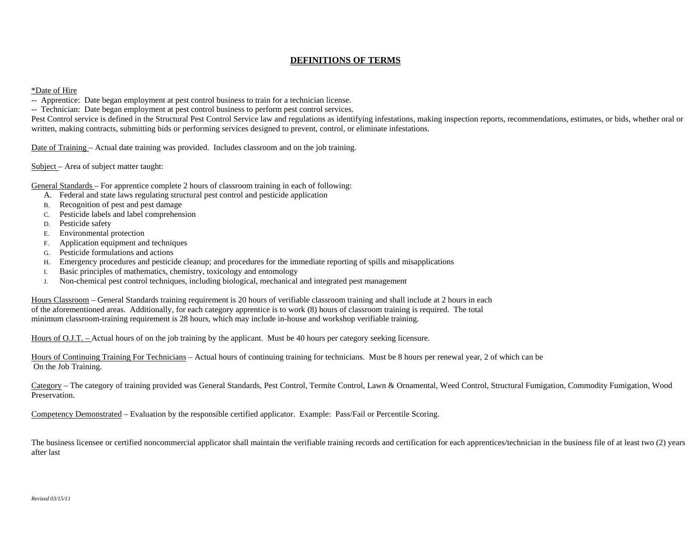## **DEFINITIONS OF TERMS**

### \*Date of Hire

-- Apprentice: Date began employment at pest control business to train for a technician license.

-- Technician: Date began employment at pest control business to perform pest control services.

Pest Control service is defined in the Structural Pest Control Service law and regulations as identifying infestations, making inspection reports, recommendations, estimates, or bids, whether oral or written, making contracts, submitting bids or performing services designed to prevent, control, or eliminate infestations.

Date of Training – Actual date training was provided. Includes classroom and on the job training.

Subject – Area of subject matter taught:

General Standards – For apprentice complete 2 hours of classroom training in each of following:

- A. Federal and state laws regulating structural pest control and pesticide application
- B. Recognition of pest and pest damage
- C. Pesticide labels and label comprehension
- D. Pesticide safety
- E. Environmental protection
- F. Application equipment and techniques
- G. Pesticide formulations and actions
- H. Emergency procedures and pesticide cleanup; and procedures for the immediate reporting of spills and misapplications
- I. Basic principles of mathematics, chemistry, toxicology and entomology
- J. Non-chemical pest control techniques, including biological, mechanical and integrated pest management

Hours Classroom – General Standards training requirement is 20 hours of verifiable classroom training and shall include at 2 hours in each of the aforementioned areas. Additionally, for each category apprentice is to work (8) hours of classroom training is required. The total minimum classroom-training requirement is 28 hours, which may include in-house and workshop verifiable training.

Hours of O.J.T. – Actual hours of on the job training by the applicant. Must be 40 hours per category seeking licensure.

Hours of Continuing Training For Technicians – Actual hours of continuing training for technicians. Must be 8 hours per renewal year, 2 of which can be On the Job Training.

Category – The category of training provided was General Standards, Pest Control, Termite Control, Lawn & Ornamental, Weed Control, Structural Fumigation, Commodity Fumigation, Wood Preservation.

Competency Demonstrated – Evaluation by the responsible certified applicator. Example: Pass/Fail or Percentile Scoring.

The business licensee or certified noncommercial applicator shall maintain the verifiable training records and certification for each apprentices/technician in the business file of at least two (2) years after last